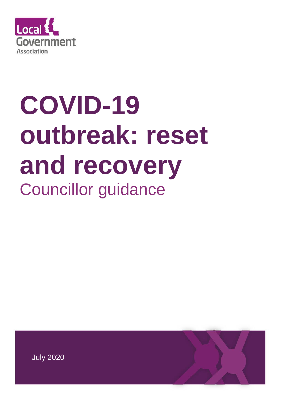

# **COVID-19 outbreak: reset and recovery** Councillor guidance

July 2020

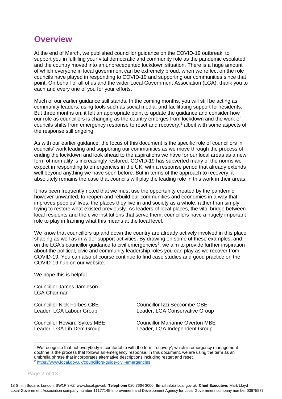# **Overview**

At the end of March, we published councillor guidance on the COVID-19 outbreak, to support you in fulfilling your vital democratic and community role as the pandemic escalated and the country moved into an unprecedented lockdown situation. There is a huge amount of which everyone in local government can be extremely proud, when we reflect on the role councils have played in responding to COVID-19 and supporting our communities since that point. On behalf of all of us and the wider Local Government Association (LGA), thank you to each and every one of you for your efforts.

Much of our earlier guidance still stands. In the coming months, you will still be acting as community leaders, using tools such as social media, and facilitating support for residents. But three months on, it felt an appropriate point to update the guidance and consider how our role as councillors is changing as the country emerges from lockdown and the work of councils shifts from emergency response to reset and recovery, $<sup>1</sup>$  albeit with some aspects of</sup> the response still ongoing.

As with our earlier guidance, the focus of this document is the specific role of councillors in councils' work leading and supporting our communities as we move through the process of ending the lockdown and look ahead to the aspirations we have for our local areas as a new form of normality is increasingly restored. COVID-19 has subverted many of the norms we expect in responding to emergencies in the UK, with a response period that already extends well beyond anything we have seen before. But in terms of the approach to recovery, it absolutely remains the case that councils will play the leading role in this work in their areas.

It has been frequently noted that we must use the opportunity created by the pandemic, however unwanted, to reopen and rebuild our communities and economies in a way that improves peoples' lives, the places they live in and society as a whole, rather than simply trying to restore what existed previously. As leaders of local places, the vital bridge between local residents and the civic institutions that serve them, councillors have a hugely important role to play in framing what this means at the local level.

We know that councillors up and down the country are already actively involved in this place shaping as well as in wider support activities. By drawing on some of these examples, and on the LGA's councillor guidance to civil emergencies<sup>2</sup>, we aim to provide further inspiration about the political, civic and community leadership roles you can play as we recover from COVID-19. You can also of course continue to find case studies and good practice on the COVID-19 hub on our website.

We hope this is helpful.

Councillor James Jamieson LGA Chairman

Councillor Nick Forbes CBE Councillor Izzi Seccombe OBE Leader, LGA Labour Group Leader, LGA Conservative Group

Councillor Howard Sykes MBE Councillor Marianne Overton MBE Leader, LGA Lib Dem Group Leader, LGA Independent Group

<sup>1</sup> We recognise that not everybody is comfortable with the term 'recovery', which in emergency management doctrine is the process that follows an emergency response. In this document, we are using the term as an umbrella phrase that incorporates alternative descriptions including restart and reset. <sup>2</sup> <https://www.local.gov.uk/councillors-guide-civil-emergencies>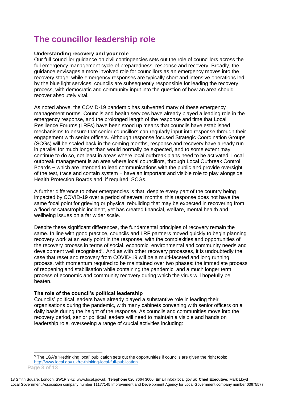# **The councillor leadership role**

#### **Understanding recovery and your role**

Our full councillor guidance on civil contingencies sets out the role of councillors across the full emergency management cycle of preparedness, response and recovery. Broadly, the guidance envisages a more involved role for councillors as an emergency moves into the recovery stage: while emergency responses are typically short and intensive operations led by the blue light services, councils are subsequently responsible for leading the recovery process, with democratic and community input into the question of how an area should recover absolutely vital.

As noted above, the COVID-19 pandemic has subverted many of these emergency management norms. Councils and health services have already played a leading role in the emergency response, and the prolonged length of the response and time that Local Resilience Forums (LRFs) have been stood up means that councils have established mechanisms to ensure that senior councillors can regularly input into response through their engagement with senior officers. Although response focused Strategic Coordination Groups (SCGs) will be scaled back in the coming months, response and recovery have already run in parallel for much longer than would normally be expected, and to some extent may continue to do so, not least in areas where local outbreak plans need to be activated. Local outbreak management is an area where local councillors, through Local Outbreak Control Boards − which are intended to lead communications with the public and provide oversight of the test, trace and contain system − have an important and visible role to play alongside Health Protection Boards and, if required, SCGs.

A further difference to other emergencies is that, despite every part of the country being impacted by COVID-19 over a period of several months, this response does not have the same focal point for grieving or physical rebuilding that may be expected in recovering from a flood or catastrophic incident, yet has created financial, welfare, mental health and wellbeing issues on a far wider scale.

Despite these significant differences, the fundamental principles of recovery remain the same. In line with good practice, councils and LRF partners moved quickly to begin planning recovery work at an early point in the response, with the complexities and opportunities of the recovery process in terms of social, economic, environmental and community needs and development well recognised<sup>3</sup>. And as with other recovery processes, it is undoubtedly the case that reset and recovery from COVID-19 will be a multi-faceted and long running process, with momentum required to be maintained over two phases: the immediate process of reopening and stabilisation while containing the pandemic, and a much longer term process of economic and community recovery during which the virus will hopefully be beaten.

#### **The role of the council's political leadership**

Councils' political leaders have already played a substantive role in leading their organisations during the pandemic, with many cabinets convening with senior officers on a daily basis during the height of the response. As councils and communities move into the recovery period, senior political leaders will need to maintain a visible and hands on leadership role, overseeing a range of crucial activities including:

<sup>&</sup>lt;sup>3</sup> The LGA's 'Rethinking local' publication sets out the opportunities if councils are given the right tools: <http://www.local.gov.uk/re-thinking-local-full-publication>

**Page 3 of 13**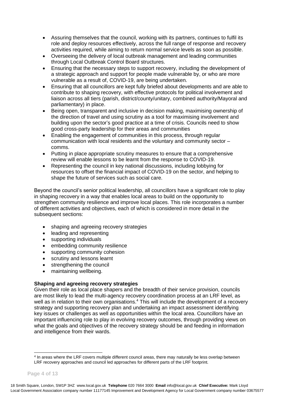- Assuring themselves that the council, working with its partners, continues to fulfil its role and deploy resources effectively, across the full range of response and recovery activities required, while aiming to return normal service levels as soon as possible.
- Overseeing the delivery of local outbreak management and leading communities through Local Outbreak Control Board structures.
- Ensuring that the necessary steps to support recovery, including the development of a strategic approach and support for people made vulnerable by, or who are more vulnerable as a result of, COVID-19, are being undertaken.
- Ensuring that all councillors are kept fully briefed about developments and are able to contribute to shaping recovery, with effective protocols for political involvement and liaison across all tiers (parish, district/county/unitary, combined authority/Mayoral and parliamentary) in place.
- Being open, transparent and inclusive in decision making, maximising ownership of the direction of travel and using scrutiny as a tool for maximising involvement and building upon the sector's good practice at a time of crisis. Councils need to show good cross-party leadership for their areas and communities
- Enabling the engagement of communities in this process, through regular communication with local residents and the voluntary and community sector – comms.
- Putting in place appropriate scrutiny measures to ensure that a comprehensive review will enable lessons to be learnt from the response to COVID-19.
- Representing the council in key national discussions, including lobbying for resources to offset the financial impact of COVID-19 on the sector, and helping to shape the future of services such as social care.

Beyond the council's senior political leadership, all councillors have a significant role to play in shaping recovery in a way that enables local areas to build on the opportunity to strengthen community resilience and improve local places. This role incorporates a number of different activities and objectives, each of which is considered in more detail in the subsequent sections:

- shaping and agreeing recovery strategies
- leading and representing
- supporting individuals
- embedding community resilience
- supporting community cohesion
- scrutiny and lessons learnt
- strengthening the council
- maintaining wellbeing.

## **Shaping and agreeing recovery strategies**

Given their role as local place shapers and the breadth of their service provision, councils are most likely to lead the multi-agency recovery coordination process at an LRF level, as well as in relation to their own organisations.<sup>4</sup> This will include the development of a recovery strategy and supporting recovery plan and undertaking an impact assessment identifying key issues or challenges as well as opportunities within the local area. Councillors have an important influencing role to play in evolving recovery outcomes, through providing views on what the goals and objectives of the recovery strategy should be and feeding in information and intelligence from their wards.

<sup>&</sup>lt;sup>4</sup> In areas where the LRF covers multiple different council areas, there may naturally be less overlap between LRF recovery approaches and council led approaches for different parts of the LRF footprint.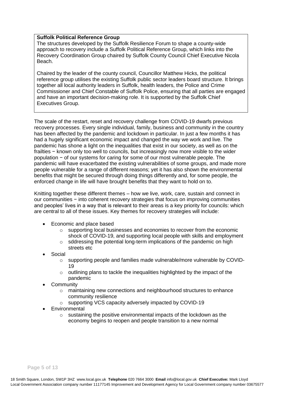#### **Suffolk Political Reference Group**

The structures developed by the Suffolk Resilience Forum to shape a county-wide approach to recovery include a Suffolk Political Reference Group, which links into the Recovery Coordination Group chaired by Suffolk County Council Chief Executive Nicola Beach.

Chaired by the leader of the county council, Councillor Matthew Hicks, the political reference group utilises the existing Suffolk public sector leaders board structure. It brings together all local authority leaders in Suffolk, health leaders, the Police and Crime Commissioner and Chief Constable of Suffolk Police, ensuring that all parties are engaged and have an important decision-making role. It is supported by the Suffolk Chief Executives Group.

The scale of the restart, reset and recovery challenge from COVID-19 dwarfs previous recovery processes. Every single individual, family, business and community in the country has been affected by the pandemic and lockdown in particular. In just a few months it has had a hugely significant economic impact and changed the way we work and live. The pandemic has shone a light on the inequalities that exist in our society, as well as on the frailties − known only too well to councils, but increasingly now more visible to the wider population − of our systems for caring for some of our most vulnerable people. The pandemic will have exacerbated the existing vulnerabilities of some groups, and made more people vulnerable for a range of different reasons; yet it has also shown the environmental benefits that might be secured through doing things differently and, for some people, the enforced change in life will have brought benefits that they want to hold on to.

Knitting together these different themes – how we live, work, care, sustain and connect in our communities − into coherent recovery strategies that focus on improving communities and peoples' lives in a way that is relevant to their areas is a key priority for councils: which are central to all of these issues. Key themes for recovery strategies will include:

- Economic and place based
	- $\circ$  supporting local businesses and economies to recover from the economic shock of COVID-19, and supporting local people with skills and employment
	- o sddressing the potential long-term implications of the pandemic on high streets etc
- Social
	- o supporting people and families made vulnerable/more vulnerable by COVID-19
	- o outlining plans to tackle the inequalities highlighted by the impact of the pandemic
- **Community** 
	- o maintaining new connections and neighbourhood structures to enhance community resilience
	- o supporting VCS capacity adversely impacted by COVID-19
- **Environmental** 
	- o sustaining the positive environmental impacts of the lockdown as the economy begins to reopen and people transition to a new normal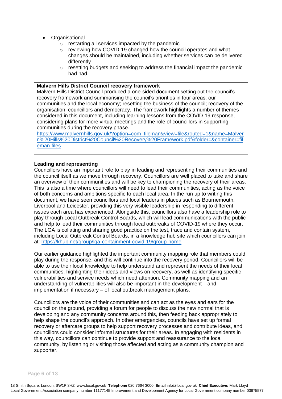- Organisational
	- o restarting all services impacted by the pandemic
	- o reviewing how COVID-19 changed how the council operates and what changes should be maintained, including whether services can be delivered differently
	- $\circ$  resetting budgets and seeking to address the financial impact the pandemic had had.

#### **Malvern Hills District Council recovery framework**

Malvern Hills District Council produced a one-sided document setting out the council's recovery framework and summarising the council's priorities in four areas: our communities and the local economy; resetting the business of the council; recovery of the organisation; councillors and democracy. The framework highlights a number of themes considered in this document, including learning lessons from the COVID-19 response, considering plans for more virtual meetings and the role of councillors in supporting communities during the recovery phase.

[https://www.malvernhills.gov.uk/?option=com\\_fileman&view=file&routed=1&name=Malver](https://www.malvernhills.gov.uk/?option=com_fileman&view=file&routed=1&name=Malvern%20Hills%20District%20Council%20Recovery%20Framework.pdf&folder=&container=fileman-files) [n%20Hills%20District%20Council%20Recovery%20Framework.pdf&folder=&container=fil](https://www.malvernhills.gov.uk/?option=com_fileman&view=file&routed=1&name=Malvern%20Hills%20District%20Council%20Recovery%20Framework.pdf&folder=&container=fileman-files) [eman-files](https://www.malvernhills.gov.uk/?option=com_fileman&view=file&routed=1&name=Malvern%20Hills%20District%20Council%20Recovery%20Framework.pdf&folder=&container=fileman-files)

#### **Leading and representing**

Councillors have an important role to play in leading and representing their communities and the council itself as we move through recovery. Councillors are well placed to take and share an overview of their communities and will be key to championing the recovery of their areas. This is also a time where councillors will need to lead their communities, acting as the voice of both concerns and ambitions specific to each local area. In the run up to writing this document, we have seen councillors and local leaders in places such as Bournemouth, Liverpool and Leicester, providing this very visible leadership in responding to different issues each area has experienced. Alongside this, councillors also have a leadership role to play through Local Outbreak Control Boards, which will lead communications with the public and help to lead their communities through local outbreaks of COVID-19 where they occur. The LGA is collating and sharing good practice on the test, trace and contain system, including Local Outbreak Control Boards, in a knowledge hub site which councillors can join at: <https://khub.net/group/lga-containment-covid-19/group-home>

Our earlier guidance highlighted the important community mapping role that members could play during the response, and this will continue into the recovery period. Councillors will be able to use their local knowledge to help understand and represent the needs of their local communities, highlighting their ideas and views on recovery, as well as identifying specific vulnerabilities and service needs which need attention. Community mapping and an understanding of vulnerabilities will also be important in the development – and implementation if necessary – of local outbreak management plans.

Councillors are the voice of their communities and can act as the eyes and ears for the council on the ground, providing a forum for people to discuss the new normal that is developing and any community concerns around this, then feeding back appropriately to help shape the council's approach. In other emergencies, councils have set up formal recovery or aftercare groups to help support recovery processes and contribute ideas, and councillors could consider informal structures for their areas. In engaging with residents in this way, councillors can continue to provide support and reassurance to the local community, by listening or visiting those affected and acting as a community champion and supporter.

#### **Page 6 of 13**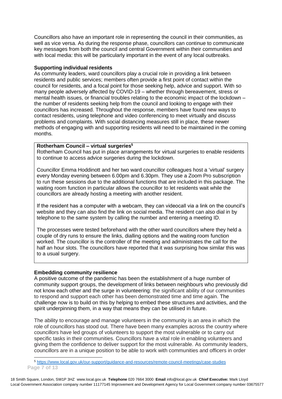Councillors also have an important role in representing the council in their communities, as well as vice versa. As during the response phase, councillors can continue to communicate key messages from both the council and central Government within their communities and with local media: this will be particularly important in the event of any local outbreaks.

#### **Supporting individual residents**

As community leaders, ward councillors play a crucial role in providing a link between residents and public services; members often provide a first point of contact within the council for residents, and a focal point for those seeking help, advice and support. With so many people adversely affected by COVID-19 – whether through bereavement, stress or mental health issues, or financial troubles relating to the economic impact of the lockdown – the number of residents seeking help from the council and looking to engage with their councillors has increased. Throughout the response, members have found new ways to contact residents, using telephone and video conferencing to meet virtually and discuss problems and complaints. With social distancing measures still in place, these newer methods of engaging with and supporting residents will need to be maintained in the coming months.

#### **Rotherham Council – virtual surgeries<sup>5</sup>**

Rotherham Council has put in place arrangements for virtual surgeries to enable residents to continue to access advice surgeries during the lockdown.

Councillor Emma Hoddinott and her two ward councillor colleagues host a 'virtual' surgery every Monday evening between 6.00pm and 6.30pm. They use a Zoom Pro subscription to run these sessions due to the additional functions that are included in this package. The waiting room function in particular allows the councillor to let residents wait while the councillors are already hosting a meeting with another resident.

If the resident has a computer with a webcam, they can videocall via a link on the council's website and they can also find the link on social media. The resident can also dial in by telephone to the same system by calling the number and entering a meeting ID.

The processes were tested beforehand with the other ward councillors where they held a couple of dry runs to ensure the links, dialling options and the waiting room function worked. The councillor is the controller of the meeting and administrates the call for the half an hour slots. The councillors have reported that it was surprising how similar this was to a usual surgery.

## **Embedding community resilience**

A positive outcome of the pandemic has been the establishment of a huge number of community support groups, the development of links between neighbours who previously did not know each other and the surge in volunteering: the significant ability of our communities to respond and support each other has been demonstrated time and time again. The challenge now is to build on this by helping to embed these structures and activities, and the spirit underpinning them, in a way that means they can be utilised in future.

The ability to encourage and manage volunteers in the community is an area in which the role of councillors has stood out. There have been many examples across the country where councillors have led groups of volunteers to support the most vulnerable or to carry out specific tasks in their communities. Councillors have a vital role in enabling volunteers and giving them the confidence to deliver support for the most vulnerable. As community leaders, councillors are in a unique position to be able to work with communities and officers in order

18 Smith Square, London, SW1P 3HZ [www.local.gov.uk](http://www.local.gov.uk/) **Telephone** 020 7664 3000 **Email** [info@local.gov.uk](mailto:info@local.gov.uk) **Chief Executive:** Mark Lloyd Local Government Association company number 11177145 Improvement and Development Agency for Local Government company number 03675577

**Page 7 of 13** <sup>5</sup> <https://www.local.gov.uk/our-support/guidance-and-resources/remote-council-meetings/case-studies>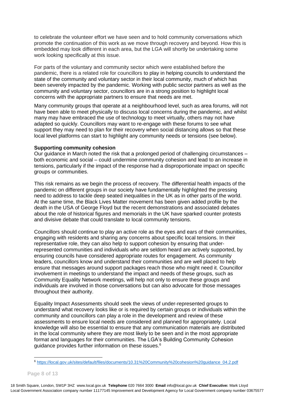to celebrate the volunteer effort we have seen and to hold community conversations which promote the continuation of this work as we move through recovery and beyond. How this is embedded may look different in each area, but the LGA will shortly be undertaking some work looking specifically at this issue.

For parts of the voluntary and community sector which were established before the pandemic, there is a related role for councillors to play in helping councils to understand the state of the community and voluntary sector in their local community, much of which has been severely impacted by the pandemic. Working with public sector partners as well as the community and voluntary sector, councillors are in a strong position to highlight local concerns with the appropriate partners to ensure that needs are met.

Many community groups that operate at a neighbourhood level, such as area forums, will not have been able to meet physically to discuss local concerns during the pandemic, and whilst many may have embraced the use of technology to meet virtually, others may not have adapted so quickly. Councillors may want to re-engage with these forums to see what support they may need to plan for their recovery when social distancing allows so that these local level platforms can start to highlight any community needs or tensions (see below).

#### **Supporting community cohesion**

Our guidance in March noted the risk that a prolonged period of challenging circumstances – both economic and social – could undermine community cohesion and lead to an increase in tensions, particularly if the impact of the response had a disproportionate impact on specific groups or communities.

This risk remains as we begin the process of recovery. The differential health impacts of the pandemic on different groups in our society have fundamentally highlighted the pressing need to address to tackle deep seated inequalities in the UK as in other parts of the world. At the same time, the Black Lives Matter movement has been given added profile by the death in the USA of George Floyd but the recent demonstrations and associated debates about the role of historical figures and memorials in the UK have sparked counter protests and divisive debate that could translate to local community tensions.

Councillors should continue to play an active role as the eyes and ears of their communities, engaging with residents and sharing any concerns about specific local tensions. In their representative role, they can also help to support cohesion by ensuring that underrepresented communities and individuals who are seldom heard are actively supported, by ensuring councils have considered appropriate routes for engagement. As community leaders, councillors know and understand their communities and are well placed to help ensure that messages around support packages reach those who might need it. Councillor involvement in meetings to understand the impact and needs of these groups, such as Community Equality Network meetings, will help not only to ensure these groups and individuals are involved in those conversations but can also advocate for those messages throughout their authority.

Equality Impact Assessments should seek the views of under-represented groups to understand what recovery looks like or is required by certain groups or individuals within the community and councillors can play a role in the development and review of these assessments to ensure local needs are considered and planned for appropriately. Local knowledge will also be essential to ensure that any communication materials are distributed in the local community where they are most likely to be seen and in the most appropriate format and languages for their communities. The LGA's Building Community Cohesion guidance provides further information on these issues.<sup>6</sup>

<sup>6</sup> [https://local.gov.uk/sites/default/files/documents/10.31%20Community%20cohesion%20guidance\\_04.2.pdf](https://local.gov.uk/sites/default/files/documents/10.31%20Community%20cohesion%20guidance_04.2.pdf)

**Page 8 of 13**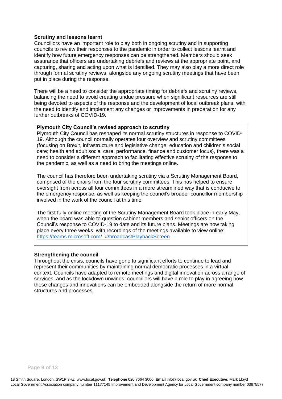#### **Scrutiny and lessons learnt**

Councillors have an important role to play both in ongoing scrutiny and in supporting councils to review their responses to the pandemic in order to collect lessons learnt and identify how future emergency responses can be strengthened. Members should seek assurance that officers are undertaking debriefs and reviews at the appropriate point, and capturing, sharing and acting upon what is identified. They may also play a more direct role through formal scrutiny reviews, alongside any ongoing scrutiny meetings that have been put in place during the response.

There will be a need to consider the appropriate timing for debriefs and scrutiny reviews, balancing the need to avoid creating undue pressure when significant resources are still being devoted to aspects of the response and the development of local outbreak plans, with the need to identify and implement any changes or improvements in preparation for any further outbreaks of COVID-19.

# **Plymouth City Council's revised approach to scrutiny**

Plymouth City Council has reshaped its normal scrutiny structures in response to COVID-19. Although the council normally operates four overview and scrutiny committees (focusing on Brexit, infrastructure and legislative change; education and children's social care; health and adult social care; performance, finance and customer focus), there was a need to consider a different approach to facilitating effective scrutiny of the response to the pandemic, as well as a need to bring the meetings online.

The council has therefore been undertaking scrutiny via a Scrutiny Management Board, comprised of the chairs from the four scrutiny committees. This has helped to ensure oversight from across all four committees in a more streamlined way that is conducive to the emergency response, as well as keeping the council's broader councillor membership involved in the work of the council at this time.

The first fully online meeting of the Scrutiny Management Board took place in early May, when the board was able to question cabinet members and senior officers on the Council's response to COVID-19 to date and its future plans. Meetings are now taking place every three weeks, with recordings of the meetings available to view online: [https://teams.microsoft.com/\\_#/broadcastPlaybackScreen](https://teams.microsoft.com/_#/broadcastPlaybackScreen)

## **Strengthening the council**

Throughout the crisis, councils have gone to significant efforts to continue to lead and represent their communities by maintaining normal democratic processes in a virtual context. Councils have adapted to remote meetings and digital innovation across a range of services, and as the lockdown unwinds, councillors will have a role to play in agreeing how these changes and innovations can be embedded alongside the return of more normal structures and processes.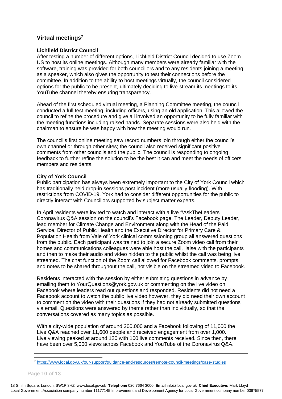# **Virtual meetings<sup>7</sup>**

## **Lichfield District Council**

After testing a number of different options, Lichfield District Council decided to use Zoom US to host its online meetings. Although many members were already familiar with the software, training was provided for both councillors and to any residents joining a meeting as a speaker, which also gives the opportunity to test their connections before the committee. In addition to the ability to host meetings virtually, the council considered options for the public to be present, ultimately deciding to live-stream its meetings to its YouTube channel thereby ensuring transparency.

Ahead of the first scheduled virtual meeting, a Planning Committee meeting, the council conducted a full test meeting, including officers, using an old application. This allowed the council to refine the procedure and give all involved an opportunity to be fully familiar with the meeting functions including raised hands. Separate sessions were also held with the chairman to ensure he was happy with how the meeting would run.

The council's first online meeting saw record numbers join through either the council's own channel or through other sites; the council also received significant positive comments from other councils and the public. The council is responding to ongoing feedback to further refine the solution to be the best it can and meet the needs of officers, members and residents.

## **City of York Council**

Public participation has always been extremely important to the City of York Council which has traditionally held drop-in sessions post incident (more usually flooding). With restrictions from COVID-19, York had to consider different opportunities for the public to directly interact with Councillors supported by subject matter experts.

In April residents were invited to watch and interact with a live #AskTheLeaders Coronavirus Q&A session on the council's Facebook page. The Leader, Deputy Leader, lead member for Climate Change and Environment along with the Head of the Paid Service, Director of Public Health and the Executive Director for Primary Care & Population Health from Vale of York clinical commissioning group all answered questions from the public. Each participant was trained to join a secure Zoom video call from their homes and communications colleagues were able host the call, liaise with the participants and then to make their audio and video hidden to the public whilst the call was being live streamed. The chat function of the Zoom call allowed for Facebook comments, prompts and notes to be shared throughout the call, not visible on the streamed video to Facebook.

Residents interacted with the session by either submitting questions in advance by emailing them to [YourQuestions@york.gov.uk](mailto:YourQuestions@york.gov.uk) or commenting on the live video on Facebook where leaders read out questions and responded. Residents did not need a Facebook account to watch the public live video however, they did need their own account to comment on the video with their questions if they had not already submitted questions via email. Questions were answered by theme rather than individually, so that the conversations covered as many topics as possible.

With a city-wide population of around 200,000 and a Facebook following of 11,000 the Live Q&A reached over 11,600 people and received engagement from over 1,000. Live viewing peaked at around 120 with 100 live comments received. Since then, there have been over 5,000 views across Facebook and YouTube of the Coronavirus Q&A.

**Page 10 of 13**

<sup>7</sup> <https://www.local.gov.uk/our-support/guidance-and-resources/remote-council-meetings/case-studies>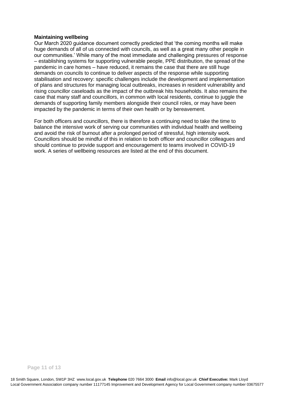#### **Maintaining wellbeing**

Our March 2020 guidance document correctly predicted that 'the coming months will make huge demands of all of us connected with councils, as well as a great many other people in our communities.' While many of the most immediate and challenging pressures of response – establishing systems for supporting vulnerable people, PPE distribution, the spread of the pandemic in care homes – have reduced, it remains the case that there are still huge demands on councils to continue to deliver aspects of the response while supporting stabilisation and recovery: specific challenges include the development and implementation of plans and structures for managing local outbreaks, increases in resident vulnerability and rising councillor caseloads as the impact of the outbreak hits households. It also remains the case that many staff and councillors, in common with local residents, continue to juggle the demands of supporting family members alongside their council roles, or may have been impacted by the pandemic in terms of their own health or by bereavement.

For both officers and councillors, there is therefore a continuing need to take the time to balance the intensive work of serving our communities with individual health and wellbeing and avoid the risk of burnout after a prolonged period of stressful, high intensity work. Councillors should be mindful of this in relation to both officer and councillor colleagues and should continue to provide support and encouragement to teams involved in COVID-19 work. A series of wellbeing resources are listed at the end of this document.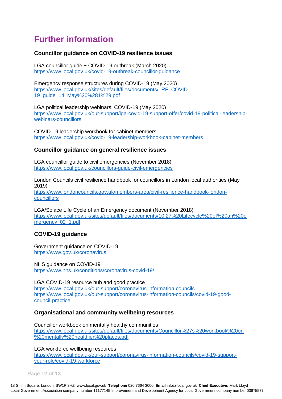# **Further information**

# **Councillor guidance on COVID-19 resilience issues**

LGA councillor guide − COVID-19 outbreak (March 2020) <https://www.local.gov.uk/covid-19-outbreak-councillor-guidance>

Emergency response structures during COVID-19 (May 2020) [https://www.local.gov.uk/sites/default/files/documents/LRF\\_COVID-](https://www.local.gov.uk/sites/default/files/documents/LRF_COVID-19_guide_14_May%20%281%29.pdf)[19\\_guide\\_14\\_May%20%281%29.pdf](https://www.local.gov.uk/sites/default/files/documents/LRF_COVID-19_guide_14_May%20%281%29.pdf)

LGA political leadership webinars, COVID-19 (May 2020) [https://www.local.gov.uk/our-support/lga-covid-19-support-offer/covid-19-political-leadership](https://www.local.gov.uk/our-support/lga-covid-19-support-offer/covid-19-political-leadership-webinars-councillors)[webinars-councillors](https://www.local.gov.uk/our-support/lga-covid-19-support-offer/covid-19-political-leadership-webinars-councillors)

COVID-19 leadership workbook for cabinet members <https://www.local.gov.uk/covid-19-leadership-workbook-cabinet-members>

# **Councillor guidance on general resilience issues**

LGA councillor guide to civil emergencies (November 2018) <https://www.local.gov.uk/councillors-guide-civil-emergencies>

London Councils civil resilience handbook for councillors in London local authorities (May 2019) [https://www.londoncouncils.gov.uk/members-area/civil-resilience-handbook-london](https://www.londoncouncils.gov.uk/members-area/civil-resilience-handbook-london-councillors)[councillors](https://www.londoncouncils.gov.uk/members-area/civil-resilience-handbook-london-councillors)

LGA/Solace Life Cycle of an Emergency document (November 2018) [https://www.local.gov.uk/sites/default/files/documents/10.27%20Lifecycle%20of%20an%20e](https://protect-eu.mimecast.com/s/fQ8JC98XYIk3WjECGOsxq) [mergency\\_02\\_1.pdf](https://protect-eu.mimecast.com/s/fQ8JC98XYIk3WjECGOsxq)

# **COVID-19 guidance**

Government guidance on COVID-19 <https://www.gov.uk/coronavirus>

NHS guidance on COVID-19 <https://www.nhs.uk/conditions/coronavirus-covid-19/>

LGA COVID-19 resource hub and good practice <https://www.local.gov.uk/our-support/coronavirus-information-councils> [https://www.local.gov.uk/our-support/coronavirus-information-councils/covid-19-good](https://www.local.gov.uk/our-support/coronavirus-information-councils/covid-19-good-council-practice)[council-practice](https://www.local.gov.uk/our-support/coronavirus-information-councils/covid-19-good-council-practice)

# **Organisational and community wellbeing resources**

Councillor workbook on mentally healthy communities [https://www.local.gov.uk/sites/default/files/documents/Councillor%27s%20workbook%20on](https://www.local.gov.uk/sites/default/files/documents/Councillor%27s%20workbook%20on%20mentally%20healthier%20places.pdf) [%20mentally%20healthier%20places.pdf](https://www.local.gov.uk/sites/default/files/documents/Councillor%27s%20workbook%20on%20mentally%20healthier%20places.pdf)

LGA workforce wellbeing resources

https://www.local.gov.uk/our-support/coronavirus-information-councils/covid-19-supportyour-role/covid-19-workforce

**Page 12 of 13**